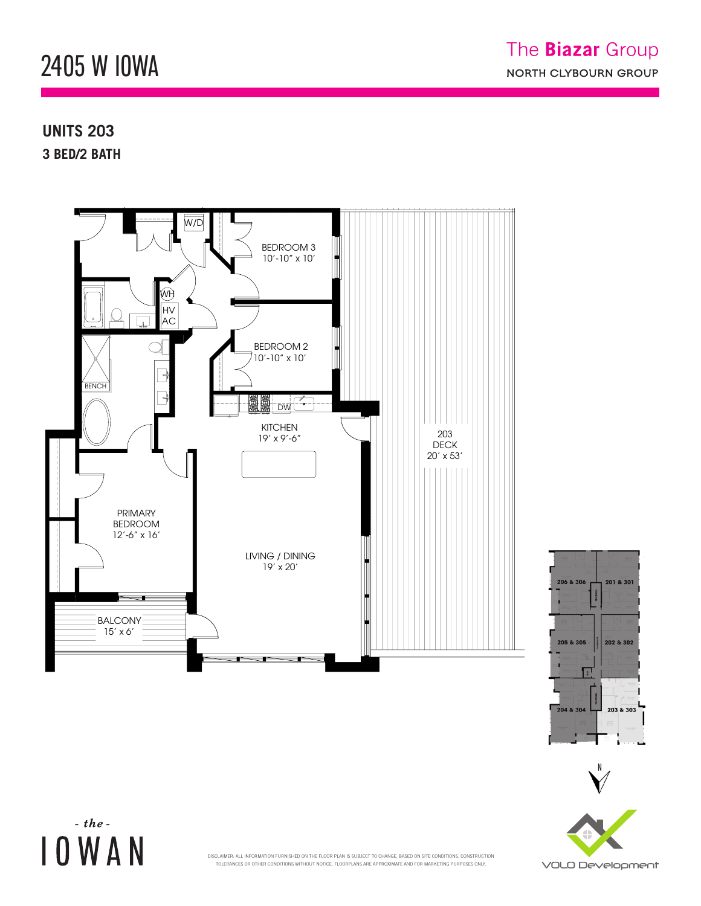## 2405 W IOWA  $242$  M. FUMVV 2405 W. IOWA ST.  $\frac{10}{4}$

W/D

## **UNITS 203** 3 BED/2 BATH

 $-$  the -

**IOWAN** 









TOLERANCES OR OTHER CONDITIONS WITHOUT NOTICE. FLOORPLANS ARE APPROXIMATE AND FOR MARKETING PURPOSES ONLY.<br>-DISCLAIMER: ALL INFORMATION FURNISHED ON THE FLOOR PLAN IS SUBJECT TO CHANGE, BASED ON SITE CONDITIONS, CONSTRUCTION